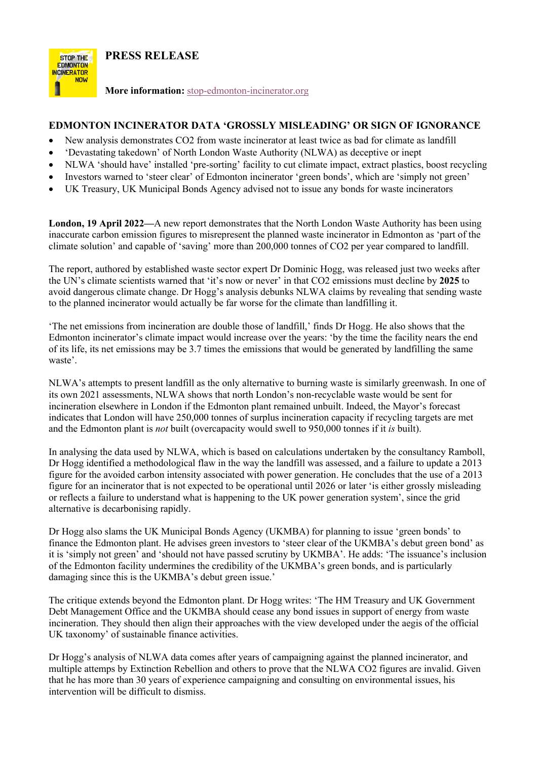**PRESS RELEASE**



**More information:** stop-edmonton-incinerator.org

## **EDMONTON INCINERATOR DATA 'GROSSLY MISLEADING' OR SIGN OF IGNORANCE**

- New analysis demonstrates CO2 from waste incinerator at least twice as bad for climate as landfill
- 'Devastating takedown' of North London Waste Authority (NLWA) as deceptive or inept
- NLWA 'should have' installed 'pre-sorting' facility to cut climate impact, extract plastics, boost recycling
- Investors warned to 'steer clear' of Edmonton incinerator 'green bonds', which are 'simply not green'
- UK Treasury, UK Municipal Bonds Agency advised not to issue any bonds for waste incinerators

**London, 19 April 2022—**A new report demonstrates that the North London Waste Authority has been using inaccurate carbon emission figures to misrepresent the planned waste incinerator in Edmonton as 'part of the climate solution' and capable of 'saving' more than 200,000 tonnes of CO2 per year compared to landfill.

The report, authored by established waste sector expert Dr Dominic Hogg, was released just two weeks after the UN's climate scientists warned that 'it's now or never' in that CO2 emissions must decline by **2025** to avoid dangerous climate change. Dr Hogg's analysis debunks NLWA claims by revealing that sending waste to the planned incinerator would actually be far worse for the climate than landfilling it.

'The net emissions from incineration are double those of landfill,' finds Dr Hogg. He also shows that the Edmonton incinerator's climate impact would increase over the years: 'by the time the facility nears the end of its life, its net emissions may be 3.7 times the emissions that would be generated by landfilling the same waste'.

NLWA's attempts to present landfill as the only alternative to burning waste is similarly greenwash. In one of its own 2021 assessments, NLWA shows that north London's non-recyclable waste would be sent for incineration elsewhere in London if the Edmonton plant remained unbuilt. Indeed, the Mayor's forecast indicates that London will have 250,000 tonnes of surplus incineration capacity if recycling targets are met and the Edmonton plant is *not* built (overcapacity would swell to 950,000 tonnes if it *is* built).

In analysing the data used by NLWA, which is based on calculations undertaken by the consultancy Ramboll, Dr Hogg identified a methodological flaw in the way the landfill was assessed, and a failure to update a 2013 figure for the avoided carbon intensity associated with power generation. He concludes that the use of a 2013 figure for an incinerator that is not expected to be operational until 2026 or later 'is either grossly misleading or reflects a failure to understand what is happening to the UK power generation system', since the grid alternative is decarbonising rapidly.

Dr Hogg also slams the UK Municipal Bonds Agency (UKMBA) for planning to issue 'green bonds' to finance the Edmonton plant. He advises green investors to 'steer clear of the UKMBA's debut green bond' as it is 'simply not green' and 'should not have passed scrutiny by UKMBA'. He adds: 'The issuance's inclusion of the Edmonton facility undermines the credibility of the UKMBA's green bonds, and is particularly damaging since this is the UKMBA's debut green issue.'

The critique extends beyond the Edmonton plant. Dr Hogg writes: 'The HM Treasury and UK Government Debt Management Office and the UKMBA should cease any bond issues in support of energy from waste incineration. They should then align their approaches with the view developed under the aegis of the official UK taxonomy' of sustainable finance activities.

Dr Hogg's analysis of NLWA data comes after years of campaigning against the planned incinerator, and multiple attemps by Extinction Rebellion and others to prove that the NLWA CO2 figures are invalid. Given that he has more than 30 years of experience campaigning and consulting on environmental issues, his intervention will be difficult to dismiss.